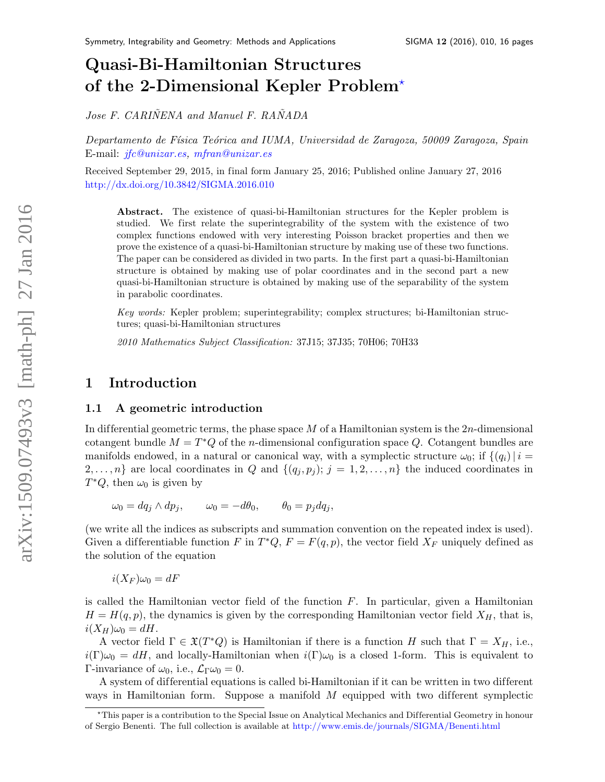# Quasi-Bi-Hamiltonian Structures of the 2-Dimensional Kepler Problem[?](#page-0-0)

Jose F. CARIÑENA and Manuel F. RAÑADA

Departamento de Física Teórica and IUMA, Universidad de Zaragoza, 50009 Zaragoza, Spain E-mail: [jfc@unizar.es,](mailto:jfc@unizar.es) [mfran@unizar.es](mailto:mfran@unizar.es)

Received September 29, 2015, in final form January 25, 2016; Published online January 27, 2016 <http://dx.doi.org/10.3842/SIGMA.2016.010>

Abstract. The existence of quasi-bi-Hamiltonian structures for the Kepler problem is studied. We first relate the superintegrability of the system with the existence of two complex functions endowed with very interesting Poisson bracket properties and then we prove the existence of a quasi-bi-Hamiltonian structure by making use of these two functions. The paper can be considered as divided in two parts. In the first part a quasi-bi-Hamiltonian structure is obtained by making use of polar coordinates and in the second part a new quasi-bi-Hamiltonian structure is obtained by making use of the separability of the system in parabolic coordinates.

Key words: Kepler problem; superintegrability; complex structures; bi-Hamiltonian structures; quasi-bi-Hamiltonian structures

2010 Mathematics Subject Classification: 37J15; 37J35; 70H06; 70H33

# 1 Introduction

#### 1.1 A geometric introduction

In differential geometric terms, the phase space  $M$  of a Hamiltonian system is the  $2n$ -dimensional cotangent bundle  $M = T^*Q$  of the *n*-dimensional configuration space Q. Cotangent bundles are manifolds endowed, in a natural or canonical way, with a symplectic structure  $\omega_0$ ; if  $\{(q_i)|i=$  $2, \ldots, n$  are local coordinates in Q and  $\{(q_j, p_j); j = 1, 2, \ldots, n\}$  the induced coordinates in  $T^*Q$ , then  $\omega_0$  is given by

$$
\omega_0 = dq_j \wedge dp_j, \qquad \omega_0 = -d\theta_0, \qquad \theta_0 = p_j dq_j,
$$

(we write all the indices as subscripts and summation convention on the repeated index is used). Given a differentiable function F in  $T^*Q$ ,  $F = F(q, p)$ , the vector field  $X_F$  uniquely defined as the solution of the equation

 $i(X_F)\omega_0 = dF$ 

is called the Hamiltonian vector field of the function  $F$ . In particular, given a Hamiltonian  $H = H(q, p)$ , the dynamics is given by the corresponding Hamiltonian vector field  $X_H$ , that is,  $i(X_H)\omega_0 = dH.$ 

A vector field  $\Gamma \in \mathfrak{X}(T^*Q)$  is Hamiltonian if there is a function H such that  $\Gamma = X_H$ , i.e.,  $i(\Gamma)\omega_0 = dH$ , and locally-Hamiltonian when  $i(\Gamma)\omega_0$  is a closed 1-form. This is equivalent to Γ-invariance of  $ω_0$ , i.e.,  $\mathcal{L}_\Gamma ω_0 = 0$ .

A system of dif ferential equations is called bi-Hamiltonian if it can be written in two dif ferent ways in Hamiltonian form. Suppose a manifold  $M$  equipped with two different symplectic

<span id="page-0-0"></span><sup>?</sup>This paper is a contribution to the Special Issue on Analytical Mechanics and Dif ferential Geometry in honour of Sergio Benenti. The full collection is available at <http://www.emis.de/journals/SIGMA/Benenti.html>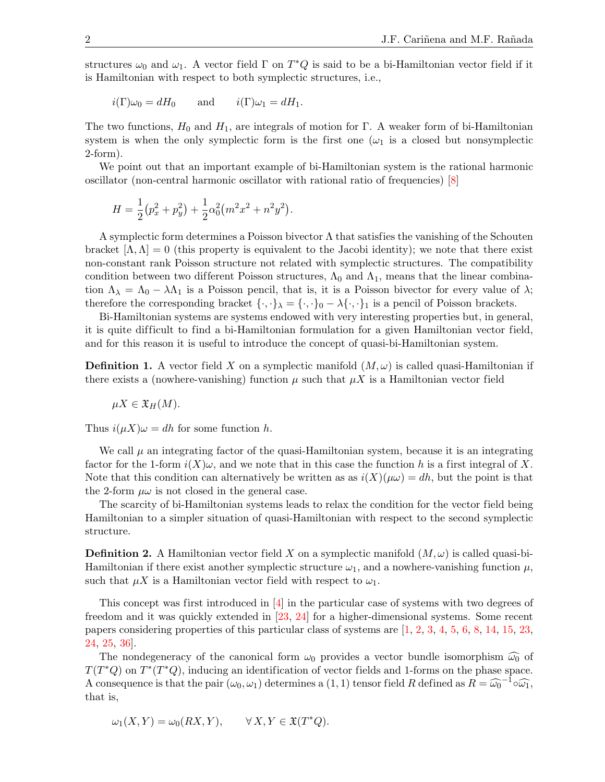structures  $\omega_0$  and  $\omega_1$ . A vector field  $\Gamma$  on  $T^*Q$  is said to be a bi-Hamiltonian vector field if it is Hamiltonian with respect to both symplectic structures, i.e.,

$$
i(\Gamma)\omega_0 = dH_0
$$
 and  $i(\Gamma)\omega_1 = dH_1$ .

The two functions,  $H_0$  and  $H_1$ , are integrals of motion for Γ. A weaker form of bi-Hamiltonian system is when the only symplectic form is the first one  $(\omega_1$  is a closed but nonsymplectic 2-form).

We point out that an important example of bi-Hamiltonian system is the rational harmonic oscillator (non-central harmonic oscillator with rational ratio of frequencies) [\[8\]](#page-14-0)

$$
H = \frac{1}{2}(p_x^2 + p_y^2) + \frac{1}{2}\alpha_0^2 (m^2x^2 + n^2y^2).
$$

A symplectic form determines a Poisson bivector  $\Lambda$  that satisfies the vanishing of the Schouten bracket  $[\Lambda, \Lambda] = 0$  (this property is equivalent to the Jacobi identity); we note that there exist non-constant rank Poisson structure not related with symplectic structures. The compatibility condition between two different Poisson structures,  $\Lambda_0$  and  $\Lambda_1$ , means that the linear combination  $\Lambda_{\lambda} = \Lambda_0 - \lambda \Lambda_1$  is a Poisson pencil, that is, it is a Poisson bivector for every value of  $\lambda$ ; therefore the corresponding bracket  $\{\cdot,\cdot\}_\lambda = \{\cdot,\cdot\}_0 - \lambda \{\cdot,\cdot\}_1$  is a pencil of Poisson brackets.

Bi-Hamiltonian systems are systems endowed with very interesting properties but, in general, it is quite dif ficult to find a bi-Hamiltonian formulation for a given Hamiltonian vector field, and for this reason it is useful to introduce the concept of quasi-bi-Hamiltonian system.

**Definition 1.** A vector field X on a symplectic manifold  $(M, \omega)$  is called quasi-Hamiltonian if there exists a (nowhere-vanishing) function  $\mu$  such that  $\mu X$  is a Hamiltonian vector field

$$
\mu X \in \mathfrak{X}_H(M).
$$

Thus  $i(\mu X)\omega = dh$  for some function h.

We call  $\mu$  an integrating factor of the quasi-Hamiltonian system, because it is an integrating factor for the 1-form  $i(X)\omega$ , and we note that in this case the function h is a first integral of X. Note that this condition can alternatively be written as as  $i(X)(\mu\omega) = dh$ , but the point is that the 2-form  $\mu\omega$  is not closed in the general case.

The scarcity of bi-Hamiltonian systems leads to relax the condition for the vector field being Hamiltonian to a simpler situation of quasi-Hamiltonian with respect to the second symplectic structure.

**Definition 2.** A Hamiltonian vector field X on a symplectic manifold  $(M,\omega)$  is called quasi-bi-Hamiltonian if there exist another symplectic structure  $\omega_1$ , and a nowhere-vanishing function  $\mu$ , such that  $\mu X$  is a Hamiltonian vector field with respect to  $\omega_1$ .

This concept was first introduced in [\[4\]](#page-14-1) in the particular case of systems with two degrees of freedom and it was quickly extended in [\[23,](#page-15-0) [24\]](#page-15-1) for a higher-dimensional systems. Some recent papers considering properties of this particular class of systems are [\[1,](#page-14-2) [2,](#page-14-3) [3,](#page-14-4) [4,](#page-14-1) [5,](#page-14-5) [6,](#page-14-6) [8,](#page-14-0) [14,](#page-15-2) [15,](#page-15-3) [23,](#page-15-0) [24,](#page-15-1) [25,](#page-15-4) [36\]](#page-15-5).

The nondegeneracy of the canonical form  $\omega_0$  provides a vector bundle isomorphism  $\widehat{\omega_0}$  of  $T(T^*Q)$  on  $T^*(T^*Q)$ , inducing an identification of vector fields and 1-forms on the phase space. A consequence is that the pair  $(\omega_0, \omega_1)$  determines a  $(1, 1)$  tensor field R defined as  $R = \widehat{\omega_0}^{-1} \circ \widehat{\omega_1}$ , that is,

$$
\omega_1(X, Y) = \omega_0(RX, Y), \qquad \forall X, Y \in \mathfrak{X}(T^*Q).
$$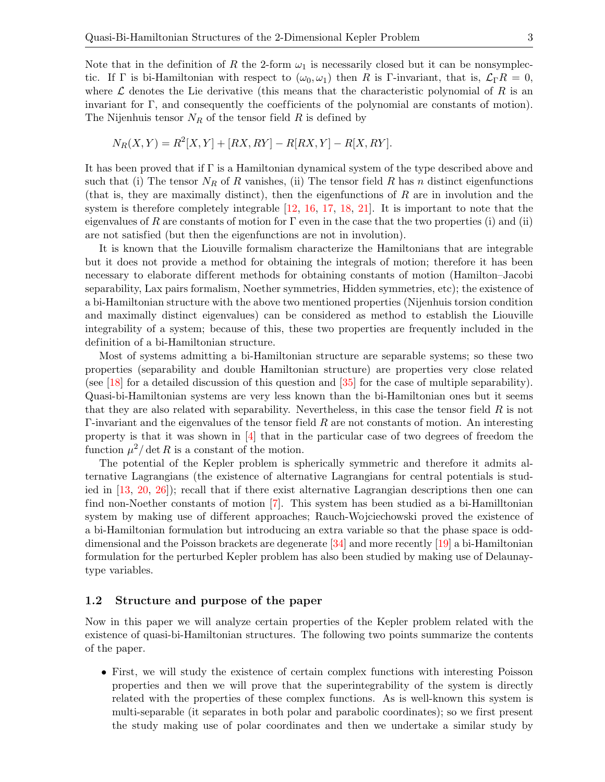Note that in the definition of R the 2-form  $\omega_1$  is necessarily closed but it can be nonsymplectic. If Γ is bi-Hamiltonian with respect to  $(\omega_0, \omega_1)$  then R is Γ-invariant, that is,  $\mathcal{L}_{\Gamma} R = 0$ , where  $\mathcal L$  denotes the Lie derivative (this means that the characteristic polynomial of R is an invariant for  $\Gamma$ , and consequently the coefficients of the polynomial are constants of motion). The Nijenhuis tensor  $N_R$  of the tensor field R is defined by

$$
N_R(X, Y) = R^2[X, Y] + [RX, RY] - R[RX, Y] - R[X, RY].
$$

It has been proved that if  $\Gamma$  is a Hamiltonian dynamical system of the type described above and such that (i) The tensor  $N_R$  of R vanishes, (ii) The tensor field R has n distinct eigenfunctions (that is, they are maximally distinct), then the eigenfunctions of R are in involution and the system is therefore completely integrable [\[12,](#page-14-7) [16,](#page-15-6) [17,](#page-15-7) [18,](#page-15-8) [21\]](#page-15-9). It is important to note that the eigenvalues of R are constants of motion for  $\Gamma$  even in the case that the two properties (i) and (ii) are not satisfied (but then the eigenfunctions are not in involution).

It is known that the Liouville formalism characterize the Hamiltonians that are integrable but it does not provide a method for obtaining the integrals of motion; therefore it has been necessary to elaborate different methods for obtaining constants of motion (Hamilton–Jacobi separability, Lax pairs formalism, Noether symmetries, Hidden symmetries, etc); the existence of a bi-Hamiltonian structure with the above two mentioned properties (Nijenhuis torsion condition and maximally distinct eigenvalues) can be considered as method to establish the Liouville integrability of a system; because of this, these two properties are frequently included in the definition of a bi-Hamiltonian structure.

Most of systems admitting a bi-Hamiltonian structure are separable systems; so these two properties (separability and double Hamiltonian structure) are properties very close related (see [\[18\]](#page-15-8) for a detailed discussion of this question and [\[35\]](#page-15-10) for the case of multiple separability). Quasi-bi-Hamiltonian systems are very less known than the bi-Hamiltonian ones but it seems that they are also related with separability. Nevertheless, in this case the tensor field  $R$  is not  $\Gamma$ -invariant and the eigenvalues of the tensor field R are not constants of motion. An interesting property is that it was shown in [\[4\]](#page-14-1) that in the particular case of two degrees of freedom the function  $\mu^2/\det R$  is a constant of the motion.

The potential of the Kepler problem is spherically symmetric and therefore it admits alternative Lagrangians (the existence of alternative Lagrangians for central potentials is studied in [\[13,](#page-14-8) [20,](#page-15-11) [26\]](#page-15-12)); recall that if there exist alternative Lagrangian descriptions then one can find non-Noether constants of motion [\[7\]](#page-14-9). This system has been studied as a bi-Hamilltonian system by making use of different approaches; Rauch-Wojciechowski proved the existence of a bi-Hamiltonian formulation but introducing an extra variable so that the phase space is odddimensional and the Poisson brackets are degenerate [\[34\]](#page-15-13) and more recently [\[19\]](#page-15-14) a bi-Hamiltonian formulation for the perturbed Kepler problem has also been studied by making use of Delaunaytype variables.

#### 1.2 Structure and purpose of the paper

Now in this paper we will analyze certain properties of the Kepler problem related with the existence of quasi-bi-Hamiltonian structures. The following two points summarize the contents of the paper.

• First, we will study the existence of certain complex functions with interesting Poisson properties and then we will prove that the superintegrability of the system is directly related with the properties of these complex functions. As is well-known this system is multi-separable (it separates in both polar and parabolic coordinates); so we first present the study making use of polar coordinates and then we undertake a similar study by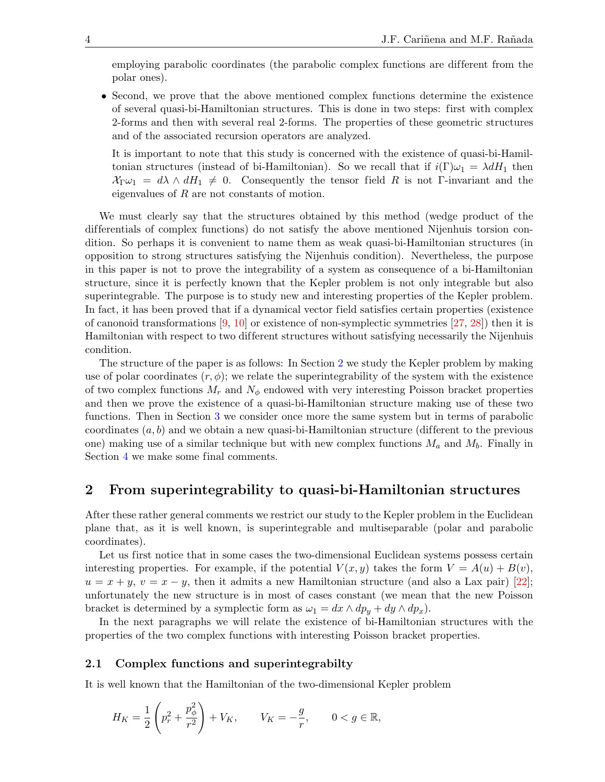employing parabolic coordinates (the parabolic complex functions are different from the polar ones).

• Second, we prove that the above mentioned complex functions determine the existence of several quasi-bi-Hamiltonian structures. This is done in two steps: first with complex 2-forms and then with several real 2-forms. The properties of these geometric structures and of the associated recursion operators are analyzed.

It is important to note that this study is concerned with the existence of quasi-bi-Hamiltonian structures (instead of bi-Hamiltonian). So we recall that if  $i(\Gamma)\omega_1 = \lambda dH_1$  then  $\mathcal{X}_{\Gamma}\omega_1 = d\lambda \wedge dH_1 \neq 0$ . Consequently the tensor field R is not Γ-invariant and the eigenvalues of R are not constants of motion.

We must clearly say that the structures obtained by this method (wedge product of the dif ferentials of complex functions) do not satisfy the above mentioned Nijenhuis torsion condition. So perhaps it is convenient to name them as weak quasi-bi-Hamiltonian structures (in opposition to strong structures satisfying the Nijenhuis condition). Nevertheless, the purpose in this paper is not to prove the integrability of a system as consequence of a bi-Hamiltonian structure, since it is perfectly known that the Kepler problem is not only integrable but also superintegrable. The purpose is to study new and interesting properties of the Kepler problem. In fact, it has been proved that if a dynamical vector field satisfies certain properties (existence of canonoid transformations  $[9, 10]$  $[9, 10]$  or existence of non-symplectic symmetries  $[27, 28]$  $[27, 28]$ ) then it is Hamiltonian with respect to two dif ferent structures without satisfying necessarily the Nijenhuis condition.

The structure of the paper is as follows: In Section [2](#page-3-0) we study the Kepler problem by making use of polar coordinates  $(r, \phi)$ ; we relate the superintegrability of the system with the existence of two complex functions  $M_r$  and  $N_\phi$  endowed with very interesting Poisson bracket properties and then we prove the existence of a quasi-bi-Hamiltonian structure making use of these two functions. Then in Section [3](#page-9-0) we consider once more the same system but in terms of parabolic coordinates  $(a, b)$  and we obtain a new quasi-bi-Hamiltonian structure (different to the previous one) making use of a similar technique but with new complex functions  $M_a$  and  $M_b$ . Finally in Section [4](#page-14-12) we make some final comments.

# <span id="page-3-0"></span>2 From superintegrability to quasi-bi-Hamiltonian structures

After these rather general comments we restrict our study to the Kepler problem in the Euclidean plane that, as it is well known, is superintegrable and multiseparable (polar and parabolic coordinates).

Let us first notice that in some cases the two-dimensional Euclidean systems possess certain interesting properties. For example, if the potential  $V(x, y)$  takes the form  $V = A(u) + B(v)$ ,  $u = x + y$ ,  $v = x - y$ , then it admits a new Hamiltonian structure (and also a Lax pair) [\[22\]](#page-15-17); unfortunately the new structure is in most of cases constant (we mean that the new Poisson bracket is determined by a symplectic form as  $\omega_1 = dx \wedge dp_y + dy \wedge dp_x$ .

In the next paragraphs we will relate the existence of bi-Hamiltonian structures with the properties of the two complex functions with interesting Poisson bracket properties.

#### 2.1 Complex functions and superintegrabilty

It is well known that the Hamiltonian of the two-dimensional Kepler problem

$$
H_K = \frac{1}{2} \left( p_r^2 + \frac{p_\phi^2}{r^2} \right) + V_K, \qquad V_K = -\frac{g}{r}, \qquad 0 < g \in \mathbb{R},
$$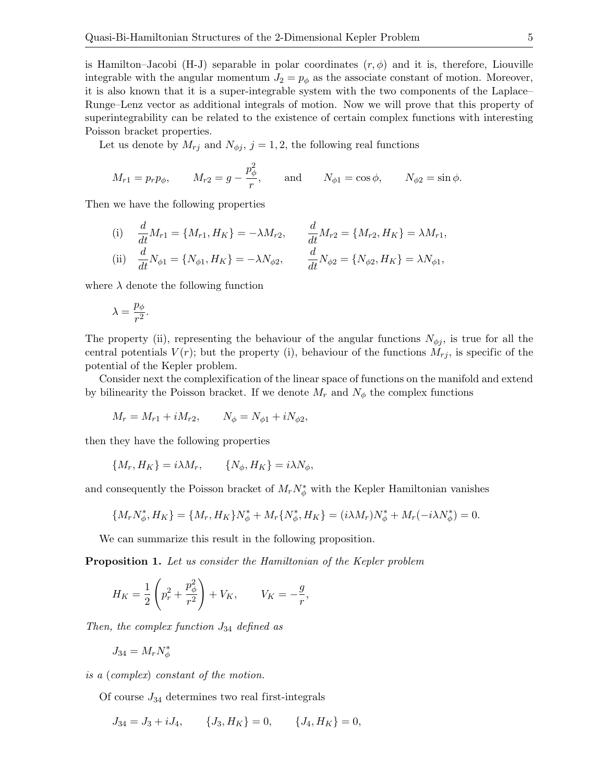is Hamilton–Jacobi (H-J) separable in polar coordinates  $(r, \phi)$  and it is, therefore, Liouville integrable with the angular momentum  $J_2 = p_\phi$  as the associate constant of motion. Moreover, it is also known that it is a super-integrable system with the two components of the Laplace– Runge–Lenz vector as additional integrals of motion. Now we will prove that this property of superintegrability can be related to the existence of certain complex functions with interesting Poisson bracket properties.

Let us denote by  $M_{rj}$  and  $N_{\phi j}$ ,  $j = 1, 2$ , the following real functions

$$
M_{r1} = p_r p_\phi
$$
,  $M_{r2} = g - \frac{p_\phi^2}{r}$ , and  $N_{\phi 1} = \cos \phi$ ,  $N_{\phi 2} = \sin \phi$ .

Then we have the following properties

(i) 
$$
\frac{d}{dt}M_{r1} = \{M_{r1}, H_K\} = -\lambda M_{r2},
$$
  $\frac{d}{dt}M_{r2} = \{M_{r2}, H_K\} = \lambda M_{r1},$   
\n(ii)  $\frac{d}{dt}N_{\phi 1} = \{N_{\phi 1}, H_K\} = -\lambda N_{\phi 2},$   $\frac{d}{dt}N_{\phi 2} = \{N_{\phi 2}, H_K\} = \lambda N_{\phi 1},$ 

where  $\lambda$  denote the following function

$$
\lambda = \frac{p_{\phi}}{r^2}.
$$

The property (ii), representing the behaviour of the angular functions  $N_{\phi j}$ , is true for all the central potentials  $V(r)$ ; but the property (i), behaviour of the functions  $M_{rj}$ , is specific of the potential of the Kepler problem.

Consider next the complexification of the linear space of functions on the manifold and extend by bilinearity the Poisson bracket. If we denote  $M_r$  and  $N_\phi$  the complex functions

$$
M_r = M_{r1} + iM_{r2}, \qquad N_\phi = N_{\phi 1} + iN_{\phi 2},
$$

then they have the following properties

$$
\{M_r, H_K\} = i\lambda M_r, \qquad \{N_\phi, H_K\} = i\lambda N_\phi,
$$

and consequently the Poisson bracket of  $M_r N^*_{\phi}$  with the Kepler Hamiltonian vanishes

$$
\{M_r N_\phi^*, H_K\} = \{M_r, H_K\} N_\phi^* + M_r \{N_\phi^*, H_K\} = (i\lambda M_r) N_\phi^* + M_r(-i\lambda N_\phi^*) = 0.
$$

We can summarize this result in the following proposition.

<span id="page-4-0"></span>**Proposition 1.** Let us consider the Hamiltonian of the Kepler problem

$$
H_K = \frac{1}{2} \left( p_r^2 + \frac{p_\phi^2}{r^2} \right) + V_K, \qquad V_K = -\frac{g}{r},
$$

Then, the complex function  $J_{34}$  defined as

$$
J_{34} = M_r N_\phi^*
$$

is a (complex) constant of the motion.

Of course  $J_{34}$  determines two real first-integrals

$$
J_{34} = J_3 + iJ_4, \qquad \{J_3, H_K\} = 0, \qquad \{J_4, H_K\} = 0,
$$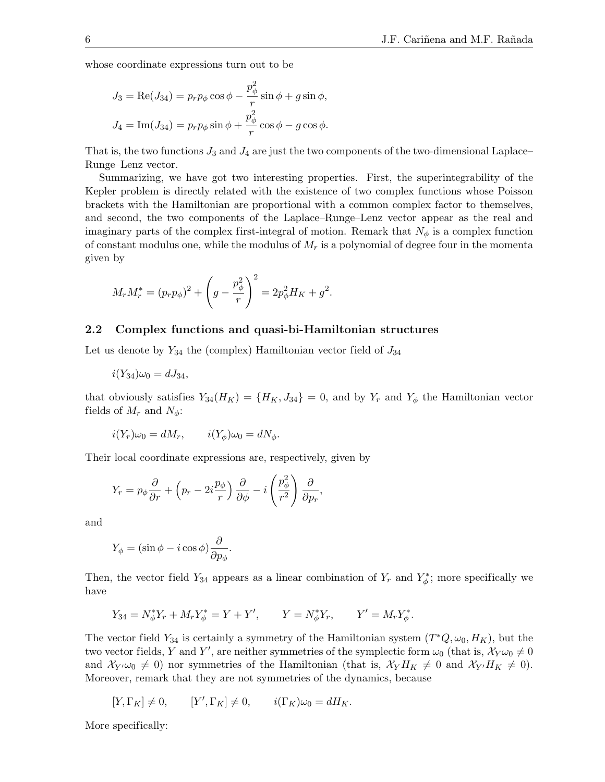whose coordinate expressions turn out to be

$$
J_3 = \text{Re}(J_{34}) = p_r p_\phi \cos \phi - \frac{p_\phi^2}{r} \sin \phi + g \sin \phi,
$$
  

$$
J_4 = \text{Im}(J_{34}) = p_r p_\phi \sin \phi + \frac{p_\phi^2}{r} \cos \phi - g \cos \phi.
$$

That is, the two functions  $J_3$  and  $J_4$  are just the two components of the two-dimensional Laplace– Runge–Lenz vector.

Summarizing, we have got two interesting properties. First, the superintegrability of the Kepler problem is directly related with the existence of two complex functions whose Poisson brackets with the Hamiltonian are proportional with a common complex factor to themselves, and second, the two components of the Laplace–Runge–Lenz vector appear as the real and imaginary parts of the complex first-integral of motion. Remark that  $N_{\phi}$  is a complex function of constant modulus one, while the modulus of  $M_r$  is a polynomial of degree four in the momenta given by

$$
M_r M_r^* = (p_r p_\phi)^2 + \left(g - \frac{p_\phi^2}{r}\right)^2 = 2p_\phi^2 H_K + g^2.
$$

#### 2.2 Complex functions and quasi-bi-Hamiltonian structures

Let us denote by  $Y_{34}$  the (complex) Hamiltonian vector field of  $J_{34}$ 

$$
i(Y_{34})\omega_0 = dJ_{34},
$$

that obviously satisfies  $Y_{34}(H_K) = \{H_K, J_{34}\} = 0$ , and by  $Y_r$  and  $Y_\phi$  the Hamiltonian vector fields of  $M_r$  and  $N_\phi$ :

$$
i(Y_r)\omega_0 = dM_r, \qquad i(Y_\phi)\omega_0 = dN_\phi.
$$

Their local coordinate expressions are, respectively, given by

$$
Y_r = p_{\phi} \frac{\partial}{\partial r} + \left( p_r - 2i \frac{p_{\phi}}{r} \right) \frac{\partial}{\partial \phi} - i \left( \frac{p_{\phi}^2}{r^2} \right) \frac{\partial}{\partial p_r},
$$

and

$$
Y_{\phi} = (\sin \phi - i \cos \phi) \frac{\partial}{\partial p_{\phi}}.
$$

Then, the vector field  $Y_{34}$  appears as a linear combination of  $Y_r$  and  $Y^*_{\phi}$ ; more specifically we have

$$
Y_{34} = N_{\phi}^* Y_r + M_r Y_{\phi}^* = Y + Y', \qquad Y = N_{\phi}^* Y_r, \qquad Y' = M_r Y_{\phi}^*.
$$

The vector field  $Y_{34}$  is certainly a symmetry of the Hamiltonian system  $(T^*Q, \omega_0, H_K)$ , but the two vector fields, Y and Y', are neither symmetries of the symplectic form  $\omega_0$  (that is,  $\chi_{Y}\omega_0 \neq 0$ and  $\mathcal{X}_{Y'}\omega_0\neq 0$  nor symmetries of the Hamiltonian (that is,  $\mathcal{X}_Y H_K\neq 0$  and  $\mathcal{X}_{Y'} H_K\neq 0$ ). Moreover, remark that they are not symmetries of the dynamics, because

$$
[Y,\Gamma_K]\neq 0, \qquad [Y',\Gamma_K]\neq 0, \qquad i(\Gamma_K)\omega_0=dH_K.
$$

More specifically: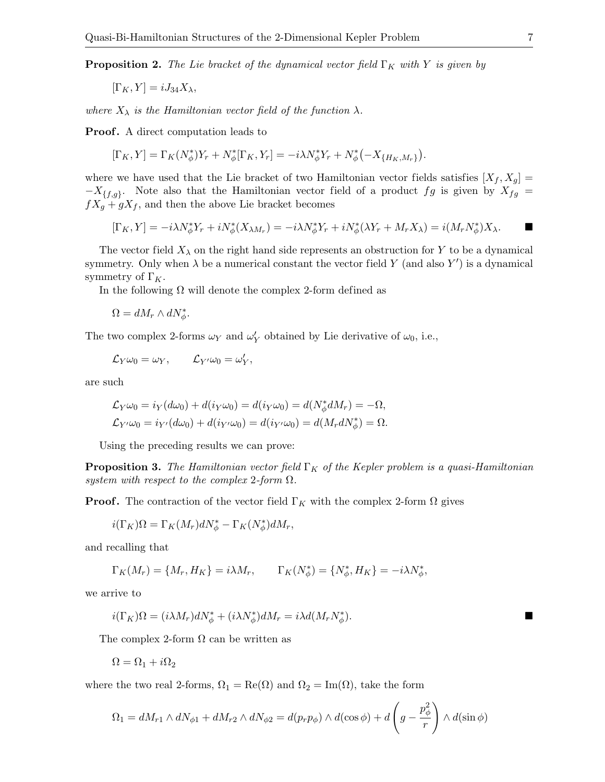<span id="page-6-0"></span>**Proposition 2.** The Lie bracket of the dynamical vector field  $\Gamma_K$  with Y is given by

 $[\Gamma_K, Y] = iJ_{34}X_{\lambda},$ 

where  $X_{\lambda}$  is the Hamiltonian vector field of the function  $\lambda$ .

Proof. A direct computation leads to

$$
[\Gamma_K, Y] = \Gamma_K(N^*_{\phi})Y_r + N^*_{\phi}[\Gamma_K, Y_r] = -i\lambda N^*_{\phi}Y_r + N^*_{\phi}(-X_{\{H_K, M_r\}}).
$$

where we have used that the Lie bracket of two Hamiltonian vector fields satisfies  $[X_f, X_g] =$  $-X_{\{f,g\}}$ . Note also that the Hamiltonian vector field of a product fg is given by  $X_{fg}$  =  $fX_g + gX_f$ , and then the above Lie bracket becomes

$$
[\Gamma_K, Y] = -i\lambda N_{\phi}^* Y_r + iN_{\phi}^* (X_{\lambda M_r}) = -i\lambda N_{\phi}^* Y_r + iN_{\phi}^* (\lambda Y_r + M_r X_{\lambda}) = i(M_r N_{\phi}^*) X_{\lambda}.
$$

The vector field  $X_{\lambda}$  on the right hand side represents an obstruction for Y to be a dynamical symmetry. Only when  $\lambda$  be a numerical constant the vector field Y (and also Y') is a dynamical symmetry of  $\Gamma_K$ .

In the following  $\Omega$  will denote the complex 2-form defined as

 $\Omega = dM_r \wedge dN^*_{\phi}.$ 

The two complex 2-forms  $\omega_Y$  and  $\omega'_Y$  obtained by Lie derivative of  $\omega_0$ , i.e.,

$$
\mathcal{L}_Y\omega_0=\omega_Y,\qquad \mathcal{L}_{Y'}\omega_0=\omega'_Y,
$$

are such

$$
\mathcal{L}_Y \omega_0 = i_Y (d\omega_0) + d(i_Y \omega_0) = d(i_Y \omega_0) = d(N^*_{\phi} dM_r) = -\Omega,
$$
  

$$
\mathcal{L}_{Y'} \omega_0 = i_{Y'} (d\omega_0) + d(i_{Y'} \omega_0) = d(i_{Y'} \omega_0) = d(M_r dN^*_{\phi}) = \Omega.
$$

Using the preceding results we can prove:

**Proposition 3.** The Hamiltonian vector field  $\Gamma_K$  of the Kepler problem is a quasi-Hamiltonian system with respect to the complex 2-form  $\Omega$ .

**Proof.** The contraction of the vector field  $\Gamma_K$  with the complex 2-form  $\Omega$  gives

$$
i(\Gamma_K)\Omega = \Gamma_K(M_r)dN_\phi^* - \Gamma_K(N_\phi^*)dM_r,
$$

and recalling that

$$
\Gamma_K(M_r) = \{M_r, H_K\} = i\lambda M_r, \qquad \Gamma_K(N^*_{\phi}) = \{N^*_{\phi}, H_K\} = -i\lambda N^*_{\phi},
$$

we arrive to

$$
i(\Gamma_K)\Omega = (i\lambda M_r)dN^*_{\phi} + (i\lambda N^*_{\phi})dM_r = i\lambda d(M_rN^*_{\phi}).
$$

The complex 2-form  $\Omega$  can be written as

$$
\Omega = \Omega_1 + i\Omega_2
$$

where the two real 2-forms,  $\Omega_1 = \text{Re}(\Omega)$  and  $\Omega_2 = \text{Im}(\Omega)$ , take the form

$$
\Omega_1 = dM_{r1} \wedge dN_{\phi 1} + dM_{r2} \wedge dN_{\phi 2} = d(p_r p_\phi) \wedge d(\cos \phi) + d\left(g - \frac{p_\phi^2}{r}\right) \wedge d(\sin \phi)
$$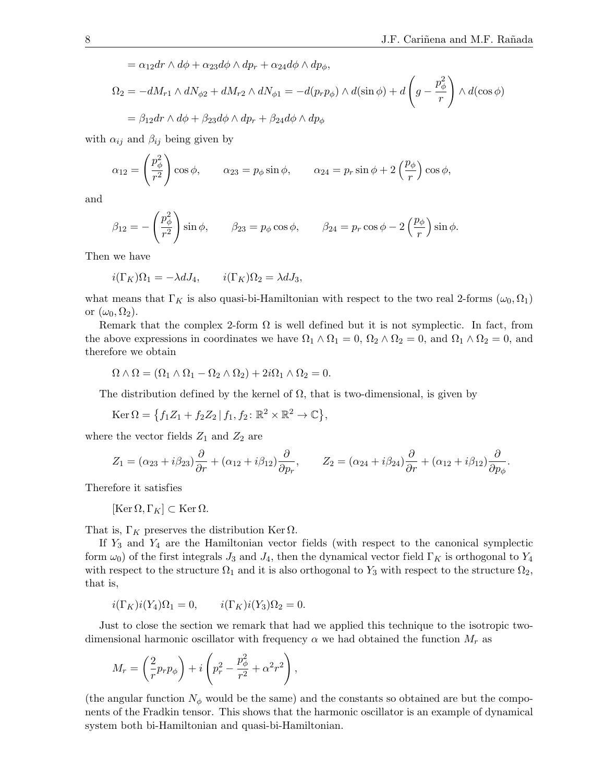$= \alpha_{12}dr \wedge d\phi + \alpha_{23}d\phi \wedge dp_r + \alpha_{24}d\phi \wedge dp_{\phi},$ 

$$
\Omega_2 = -dM_{r1} \wedge dN_{\phi 2} + dM_{r2} \wedge dN_{\phi 1} = -d(p_r p_\phi) \wedge d(\sin \phi) + d\left(g - \frac{p_\phi^2}{r}\right) \wedge d(\cos \phi)
$$

$$
= \beta_{12} dr \wedge d\phi + \beta_{23} d\phi \wedge dp_r + \beta_{24} d\phi \wedge dp_\phi
$$

with  $\alpha_{ij}$  and  $\beta_{ij}$  being given by

$$
\alpha_{12} = \left(\frac{p_{\phi}^2}{r^2}\right)\cos\phi, \qquad \alpha_{23} = p_{\phi}\sin\phi, \qquad \alpha_{24} = p_r\sin\phi + 2\left(\frac{p_{\phi}}{r}\right)\cos\phi,
$$

and

$$
\beta_{12} = -\left(\frac{p_{\phi}^2}{r^2}\right) \sin \phi, \qquad \beta_{23} = p_{\phi} \cos \phi, \qquad \beta_{24} = p_r \cos \phi - 2\left(\frac{p_{\phi}}{r}\right) \sin \phi.
$$

Then we have

$$
i(\Gamma_K)\Omega_1 = -\lambda dJ_4, \qquad i(\Gamma_K)\Omega_2 = \lambda dJ_3,
$$

what means that  $\Gamma_K$  is also quasi-bi-Hamiltonian with respect to the two real 2-forms  $(\omega_0, \Omega_1)$ or  $(\omega_0, \Omega_2)$ .

Remark that the complex 2-form  $\Omega$  is well defined but it is not symplectic. In fact, from the above expressions in coordinates we have  $\Omega_1 \wedge \Omega_1 = 0$ ,  $\Omega_2 \wedge \Omega_2 = 0$ , and  $\Omega_1 \wedge \Omega_2 = 0$ , and therefore we obtain

$$
\Omega \wedge \Omega = (\Omega_1 \wedge \Omega_1 - \Omega_2 \wedge \Omega_2) + 2i\Omega_1 \wedge \Omega_2 = 0.
$$

The distribution defined by the kernel of  $\Omega$ , that is two-dimensional, is given by

$$
\operatorname{Ker} \Omega = \left\{ f_1 Z_1 + f_2 Z_2 \, | \, f_1, f_2 \colon \mathbb{R}^2 \times \mathbb{R}^2 \to \mathbb{C} \right\},
$$

where the vector fields  $Z_1$  and  $Z_2$  are

$$
Z_1 = (\alpha_{23} + i\beta_{23})\frac{\partial}{\partial r} + (\alpha_{12} + i\beta_{12})\frac{\partial}{\partial p_r}, \qquad Z_2 = (\alpha_{24} + i\beta_{24})\frac{\partial}{\partial r} + (\alpha_{12} + i\beta_{12})\frac{\partial}{\partial p_\phi}.
$$

Therefore it satisfies

$$
[\operatorname{Ker}\Omega,\Gamma_K]\subset\operatorname{Ker}\Omega.
$$

That is,  $\Gamma_K$  preserves the distribution Ker  $\Omega$ .

If  $Y_3$  and  $Y_4$  are the Hamiltonian vector fields (with respect to the canonical symplectic form  $\omega_0$ ) of the first integrals  $J_3$  and  $J_4$ , then the dynamical vector field  $\Gamma_K$  is orthogonal to  $Y_4$ with respect to the structure  $\Omega_1$  and it is also orthogonal to Y<sub>3</sub> with respect to the structure  $\Omega_2$ , that is,

$$
i(\Gamma_K)i(Y_4)\Omega_1 = 0, \qquad i(\Gamma_K)i(Y_3)\Omega_2 = 0.
$$

Just to close the section we remark that had we applied this technique to the isotropic twodimensional harmonic oscillator with frequency  $\alpha$  we had obtained the function  $M_r$  as

$$
M_r = \left(\frac{2}{r}p_r p_\phi\right) + i\left(p_r^2 - \frac{p_\phi^2}{r^2} + \alpha^2 r^2\right),
$$

(the angular function  $N_{\phi}$  would be the same) and the constants so obtained are but the components of the Fradkin tensor. This shows that the harmonic oscillator is an example of dynamical system both bi-Hamiltonian and quasi-bi-Hamiltonian.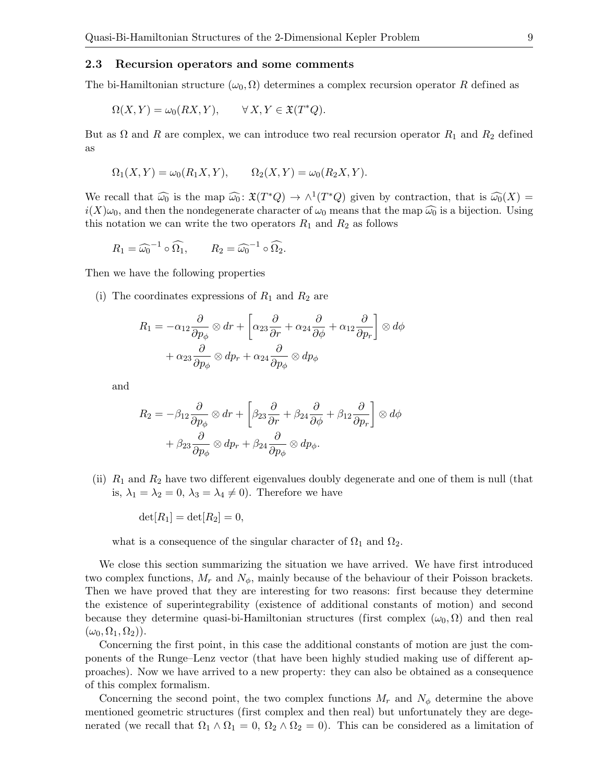#### <span id="page-8-0"></span>2.3 Recursion operators and some comments

The bi-Hamiltonian structure  $(\omega_0, \Omega)$  determines a complex recursion operator R defined as

$$
\Omega(X, Y) = \omega_0(RX, Y), \qquad \forall X, Y \in \mathfrak{X}(T^*Q).
$$

But as  $\Omega$  and R are complex, we can introduce two real recursion operator  $R_1$  and  $R_2$  defined as

$$
\Omega_1(X,Y) = \omega_0(R_1X,Y), \qquad \Omega_2(X,Y) = \omega_0(R_2X,Y).
$$

We recall that  $\widehat{\omega_0}$  is the map  $\widehat{\omega_0}$ :  $\mathfrak{X}(T^*Q) \to \wedge^1(T^*Q)$  given by contraction, that is  $\widehat{\omega_0}(X) =$ <br> $\widehat{\omega}(X)$  is a bijection that the paperconnect change of is means that the map  $\widehat{\omega}$  is a bijecti  $i(X)\omega_0$ , and then the nondegenerate character of  $\omega_0$  means that the map  $\widehat{\omega_0}$  is a bijection. Using this notation we can write the two operators  $R_1$  and  $R_2$  as follows

$$
R_1 = \widehat{\omega_0}^{-1} \circ \widehat{\Omega_1}, \qquad R_2 = \widehat{\omega_0}^{-1} \circ \widehat{\Omega_2}.
$$

Then we have the following properties

(i) The coordinates expressions of  $R_1$  and  $R_2$  are

$$
R_1 = -\alpha_{12} \frac{\partial}{\partial p_{\phi}} \otimes dr + \left[ \alpha_{23} \frac{\partial}{\partial r} + \alpha_{24} \frac{\partial}{\partial \phi} + \alpha_{12} \frac{\partial}{\partial p_r} \right] \otimes d\phi
$$

$$
+ \alpha_{23} \frac{\partial}{\partial p_{\phi}} \otimes dp_r + \alpha_{24} \frac{\partial}{\partial p_{\phi}} \otimes dp_{\phi}
$$

and

$$
R_2 = -\beta_{12} \frac{\partial}{\partial p_{\phi}} \otimes dr + \left[ \beta_{23} \frac{\partial}{\partial r} + \beta_{24} \frac{\partial}{\partial \phi} + \beta_{12} \frac{\partial}{\partial p_r} \right] \otimes d\phi
$$

$$
+ \beta_{23} \frac{\partial}{\partial p_{\phi}} \otimes dp_r + \beta_{24} \frac{\partial}{\partial p_{\phi}} \otimes dp_{\phi}.
$$

(ii)  $R_1$  and  $R_2$  have two different eigenvalues doubly degenerate and one of them is null (that is,  $\lambda_1 = \lambda_2 = 0$ ,  $\lambda_3 = \lambda_4 \neq 0$ . Therefore we have

 $det[R_1] = det[R_2] = 0,$ 

what is a consequence of the singular character of  $\Omega_1$  and  $\Omega_2$ .

We close this section summarizing the situation we have arrived. We have first introduced two complex functions,  $M_r$  and  $N_\phi$ , mainly because of the behaviour of their Poisson brackets. Then we have proved that they are interesting for two reasons: first because they determine the existence of superintegrability (existence of additional constants of motion) and second because they determine quasi-bi-Hamiltonian structures (first complex  $(\omega_0, \Omega)$ ) and then real  $(\omega_0, \Omega_1, \Omega_2)$ .

Concerning the first point, in this case the additional constants of motion are just the components of the Runge–Lenz vector (that have been highly studied making use of dif ferent approaches). Now we have arrived to a new property: they can also be obtained as a consequence of this complex formalism.

Concerning the second point, the two complex functions  $M_r$  and  $N_\phi$  determine the above mentioned geometric structures (first complex and then real) but unfortunately they are degenerated (we recall that  $\Omega_1 \wedge \Omega_1 = 0$ ,  $\Omega_2 \wedge \Omega_2 = 0$ ). This can be considered as a limitation of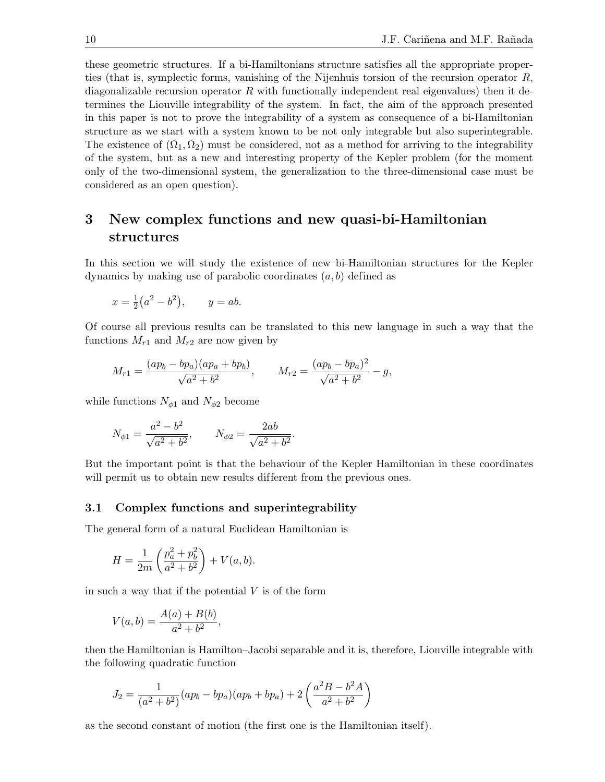these geometric structures. If a bi-Hamiltonians structure satisfies all the appropriate properties (that is, symplectic forms, vanishing of the Nijenhuis torsion of the recursion operator  $R$ , diagonalizable recursion operator  $R$  with functionally independent real eigenvalues) then it determines the Liouville integrability of the system. In fact, the aim of the approach presented in this paper is not to prove the integrability of a system as consequence of a bi-Hamiltonian structure as we start with a system known to be not only integrable but also superintegrable. The existence of  $(\Omega_1, \Omega_2)$  must be considered, not as a method for arriving to the integrability of the system, but as a new and interesting property of the Kepler problem (for the moment only of the two-dimensional system, the generalization to the three-dimensional case must be considered as an open question).

# <span id="page-9-0"></span>3 New complex functions and new quasi-bi-Hamiltonian structures

In this section we will study the existence of new bi-Hamiltonian structures for the Kepler dynamics by making use of parabolic coordinates  $(a, b)$  defined as

$$
x = \frac{1}{2}(a^2 - b^2),
$$
  $y = ab.$ 

Of course all previous results can be translated to this new language in such a way that the functions  $M_{r1}$  and  $M_{r2}$  are now given by

$$
M_{r1} = \frac{(ap_b - bp_a)(ap_a + bp_b)}{\sqrt{a^2 + b^2}}, \qquad M_{r2} = \frac{(ap_b - bp_a)^2}{\sqrt{a^2 + b^2}} - g,
$$

while functions  $N_{\phi 1}$  and  $N_{\phi 2}$  become

$$
N_{\phi 1} = \frac{a^2 - b^2}{\sqrt{a^2 + b^2}}, \qquad N_{\phi 2} = \frac{2ab}{\sqrt{a^2 + b^2}}.
$$

But the important point is that the behaviour of the Kepler Hamiltonian in these coordinates will permit us to obtain new results different from the previous ones.

#### 3.1 Complex functions and superintegrability

The general form of a natural Euclidean Hamiltonian is

$$
H = \frac{1}{2m} \left( \frac{p_a^2 + p_b^2}{a^2 + b^2} \right) + V(a, b).
$$

in such a way that if the potential  $V$  is of the form

$$
V(a,b) = \frac{A(a) + B(b)}{a^2 + b^2},
$$

then the Hamiltonian is Hamilton–Jacobi separable and it is, therefore, Liouville integrable with the following quadratic function

$$
J_2 = \frac{1}{(a^2 + b^2)}(ap_b - bp_a)(ap_b + bp_a) + 2\left(\frac{a^2B - b^2A}{a^2 + b^2}\right)
$$

as the second constant of motion (the first one is the Hamiltonian itself).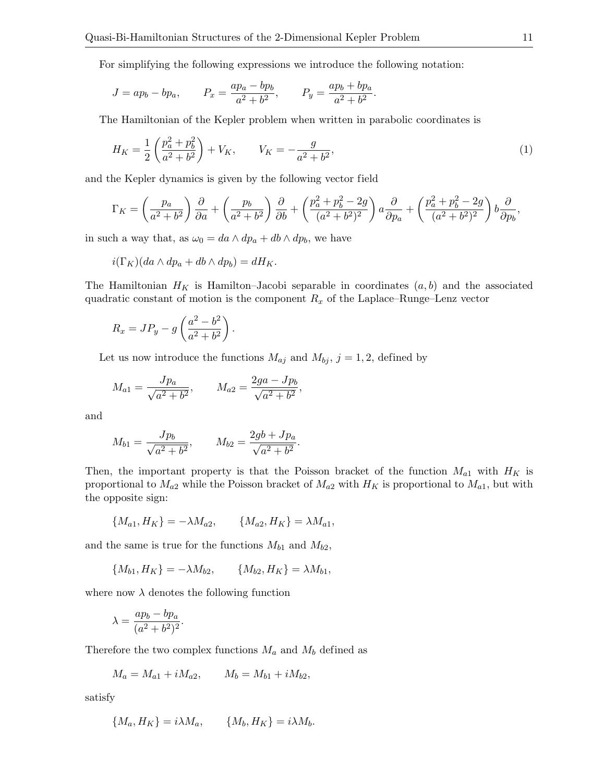For simplifying the following expressions we introduce the following notation:

$$
J = ap_b - bp_a
$$
,  $P_x = \frac{ap_a - bp_b}{a^2 + b^2}$ ,  $P_y = \frac{ap_b + bp_a}{a^2 + b^2}$ .

The Hamiltonian of the Kepler problem when written in parabolic coordinates is

<span id="page-10-0"></span>
$$
H_K = \frac{1}{2} \left( \frac{p_a^2 + p_b^2}{a^2 + b^2} \right) + V_K, \qquad V_K = -\frac{g}{a^2 + b^2},\tag{1}
$$

and the Kepler dynamics is given by the following vector field

$$
\Gamma_K = \left(\frac{p_a}{a^2 + b^2}\right) \frac{\partial}{\partial a} + \left(\frac{p_b}{a^2 + b^2}\right) \frac{\partial}{\partial b} + \left(\frac{p_a^2 + p_b^2 - 2g}{(a^2 + b^2)^2}\right) a \frac{\partial}{\partial p_a} + \left(\frac{p_a^2 + p_b^2 - 2g}{(a^2 + b^2)^2}\right) b \frac{\partial}{\partial p_b},
$$

in such a way that, as  $\omega_0 = da \wedge dp_a + db \wedge dp_b$ , we have

$$
i(\Gamma_K)(da \wedge dp_a + db \wedge dp_b) = dH_K.
$$

The Hamiltonian  $H_K$  is Hamilton–Jacobi separable in coordinates  $(a, b)$  and the associated quadratic constant of motion is the component  $R_x$  of the Laplace–Runge–Lenz vector

$$
R_x = JP_y - g\left(\frac{a^2 - b^2}{a^2 + b^2}\right).
$$

Let us now introduce the functions  $M_{aj}$  and  $M_{bj}$ ,  $j = 1, 2$ , defined by

$$
M_{a1} = \frac{Jp_a}{\sqrt{a^2 + b^2}}, \qquad M_{a2} = \frac{2ga - Jp_b}{\sqrt{a^2 + b^2}},
$$

and

$$
M_{b1} = \frac{Jp_b}{\sqrt{a^2 + b^2}}, \qquad M_{b2} = \frac{2gb + Jp_a}{\sqrt{a^2 + b^2}}.
$$

Then, the important property is that the Poisson bracket of the function  $M_{a1}$  with  $H_K$  is proportional to  $M_{a2}$  while the Poisson bracket of  $M_{a2}$  with  $H_K$  is proportional to  $M_{a1}$ , but with the opposite sign:

$$
\{M_{a1}, H_K\} = -\lambda M_{a2}, \qquad \{M_{a2}, H_K\} = \lambda M_{a1},
$$

and the same is true for the functions  $M_{b1}$  and  $M_{b2}$ ,

$$
\{M_{b1}, H_K\} = -\lambda M_{b2}, \qquad \{M_{b2}, H_K\} = \lambda M_{b1},
$$

where now  $\lambda$  denotes the following function

$$
\lambda = \frac{ap_b - bp_a}{(a^2 + b^2)^2}.
$$

Therefore the two complex functions  $M_a$  and  $M_b$  defined as

$$
M_a = M_{a1} + iM_{a2}, \qquad M_b = M_{b1} + iM_{b2},
$$

satisfy

$$
\{M_a, H_K\} = i\lambda M_a, \qquad \{M_b, H_K\} = i\lambda M_b.
$$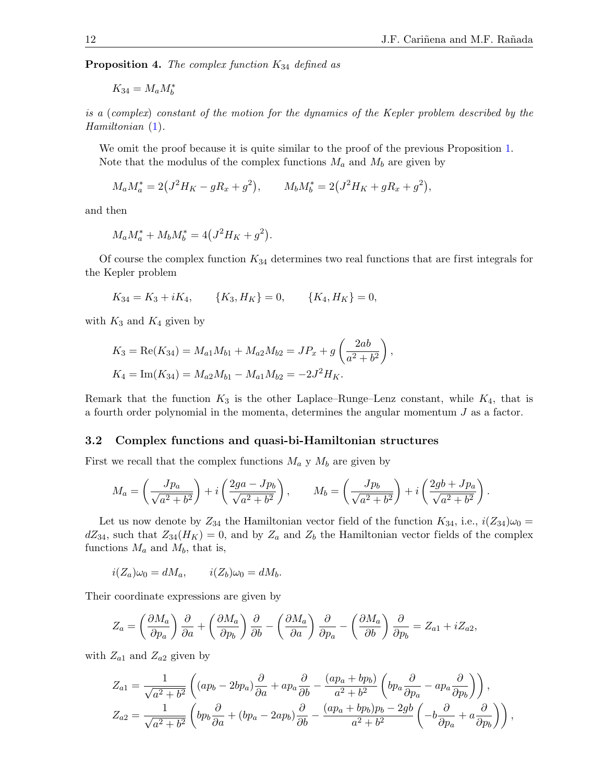**Proposition 4.** The complex function  $K_{34}$  defined as

$$
K_{34}=M_a M_b^*
$$

is a (complex) constant of the motion for the dynamics of the Kepler problem described by the Hamiltonian  $(1)$ .

We omit the proof because it is quite similar to the proof of the previous Proposition [1.](#page-4-0) Note that the modulus of the complex functions  $M_a$  and  $M_b$  are given by

$$
M_a M_a^* = 2(J^2 H_K - gR_x + g^2), \qquad M_b M_b^* = 2(J^2 H_K + gR_x + g^2),
$$

and then

$$
M_a M_a^* + M_b M_b^* = 4(J^2 H_K + g^2).
$$

Of course the complex function  $K_{34}$  determines two real functions that are first integrals for the Kepler problem

$$
K_{34} = K_3 + iK_4,
$$
  $\{K_3, H_K\} = 0,$   $\{K_4, H_K\} = 0,$ 

with  $K_3$  and  $K_4$  given by

$$
K_3 = \text{Re}(K_{34}) = M_{a1}M_{b1} + M_{a2}M_{b2} = JP_x + g\left(\frac{2ab}{a^2 + b^2}\right),
$$
  

$$
K_4 = \text{Im}(K_{34}) = M_{a2}M_{b1} - M_{a1}M_{b2} = -2J^2H_K.
$$

Remark that the function  $K_3$  is the other Laplace–Runge–Lenz constant, while  $K_4$ , that is a fourth order polynomial in the momenta, determines the angular momentum J as a factor.

#### 3.2 Complex functions and quasi-bi-Hamiltonian structures

First we recall that the complex functions  $M_a$  y  $M_b$  are given by

$$
M_a = \left(\frac{Jp_a}{\sqrt{a^2 + b^2}}\right) + i\left(\frac{2ga - Jp_b}{\sqrt{a^2 + b^2}}\right), \qquad M_b = \left(\frac{Jp_b}{\sqrt{a^2 + b^2}}\right) + i\left(\frac{2gb + Jp_a}{\sqrt{a^2 + b^2}}\right).
$$

Let us now denote by  $Z_{34}$  the Hamiltonian vector field of the function  $K_{34}$ , i.e.,  $i(Z_{34})\omega_0 =$  $dZ_{34}$ , such that  $Z_{34}(H_K) = 0$ , and by  $Z_a$  and  $Z_b$  the Hamiltonian vector fields of the complex functions  $M_a$  and  $M_b$ , that is,

$$
i(Z_a)\omega_0 = dM_a, \qquad i(Z_b)\omega_0 = dM_b.
$$

Their coordinate expressions are given by

$$
Z_a = \left(\frac{\partial M_a}{\partial p_a}\right)\frac{\partial}{\partial a} + \left(\frac{\partial M_a}{\partial p_b}\right)\frac{\partial}{\partial b} - \left(\frac{\partial M_a}{\partial a}\right)\frac{\partial}{\partial p_a} - \left(\frac{\partial M_a}{\partial b}\right)\frac{\partial}{\partial p_b} = Z_{a1} + iZ_{a2},
$$

with  $Z_{a1}$  and  $Z_{a2}$  given by

$$
Z_{a1} = \frac{1}{\sqrt{a^2 + b^2}} \left( (ap_b - 2bp_a) \frac{\partial}{\partial a} + ap_a \frac{\partial}{\partial b} - \frac{(ap_a + bp_b)}{a^2 + b^2} \left( bp_a \frac{\partial}{\partial p_a} - ap_a \frac{\partial}{\partial p_b} \right) \right),
$$
  

$$
Z_{a2} = \frac{1}{\sqrt{a^2 + b^2}} \left( bp_b \frac{\partial}{\partial a} + (bp_a - 2ap_b) \frac{\partial}{\partial b} - \frac{(ap_a + bp_b)p_b - 2gb}{a^2 + b^2} \left( -b \frac{\partial}{\partial p_a} + a \frac{\partial}{\partial p_b} \right) \right),
$$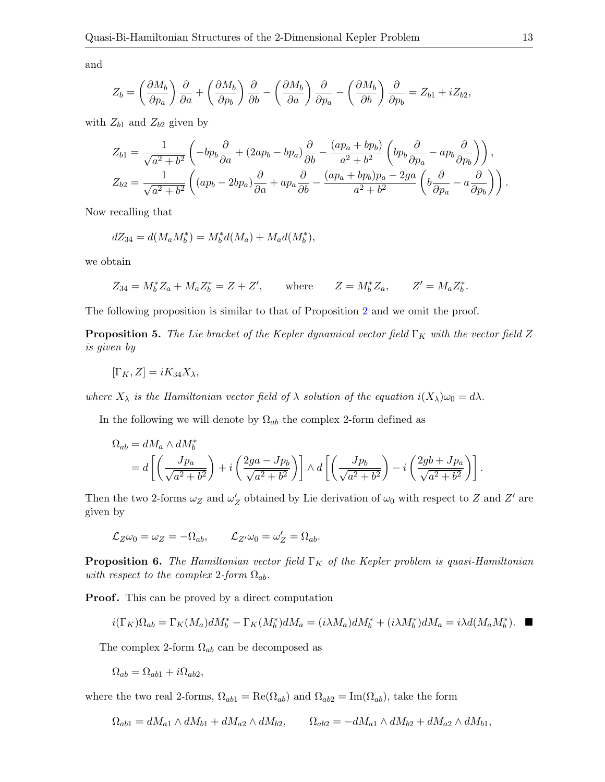and

$$
Z_b = \left(\frac{\partial M_b}{\partial p_a}\right)\frac{\partial}{\partial a} + \left(\frac{\partial M_b}{\partial p_b}\right)\frac{\partial}{\partial b} - \left(\frac{\partial M_b}{\partial a}\right)\frac{\partial}{\partial p_a} - \left(\frac{\partial M_b}{\partial b}\right)\frac{\partial}{\partial p_b} = Z_{b1} + iZ_{b2},
$$

with  $Z_{b1}$  and  $Z_{b2}$  given by

$$
Z_{b1} = \frac{1}{\sqrt{a^2 + b^2}} \left( -bp_b \frac{\partial}{\partial a} + (2ap_b - bp_a) \frac{\partial}{\partial b} - \frac{(ap_a + bp_b)}{a^2 + b^2} \left( bp_b \frac{\partial}{\partial p_a} - ap_b \frac{\partial}{\partial p_b} \right) \right),
$$
  

$$
Z_{b2} = \frac{1}{\sqrt{a^2 + b^2}} \left( (ap_b - 2bp_a) \frac{\partial}{\partial a} + ap_a \frac{\partial}{\partial b} - \frac{(ap_a + bp_b)p_a - 2ga}{a^2 + b^2} \left( b \frac{\partial}{\partial p_a} - a \frac{\partial}{\partial p_b} \right) \right).
$$

Now recalling that

$$
dZ_{34} = d(M_a M_b^*) = M_b^* d(M_a) + M_a d(M_b^*),
$$

we obtain

$$
Z_{34} = M_b^* Z_a + M_a Z_b^* = Z + Z',
$$
 where  $Z = M_b^* Z_a$ ,  $Z' = M_a Z_b^*$ .

The following proposition is similar to that of Proposition [2](#page-6-0) and we omit the proof.

**Proposition 5.** The Lie bracket of the Kepler dynamical vector field  $\Gamma_K$  with the vector field Z is given by

$$
[\Gamma_K, Z] = iK_{34}X_{\lambda},
$$

where  $X_{\lambda}$  is the Hamiltonian vector field of  $\lambda$  solution of the equation  $i(X_{\lambda})\omega_0 = d\lambda$ .

In the following we will denote by  $\Omega_{ab}$  the complex 2-form defined as

$$
\Omega_{ab} = dM_a \wedge dM_b^* = d\left[ \left( \frac{Jp_a}{\sqrt{a^2 + b^2}} \right) + i \left( \frac{2ga - Jp_b}{\sqrt{a^2 + b^2}} \right) \right] \wedge d\left[ \left( \frac{Jp_b}{\sqrt{a^2 + b^2}} \right) - i \left( \frac{2gb + Jp_a}{\sqrt{a^2 + b^2}} \right) \right].
$$

Then the two 2-forms  $\omega_Z$  and  $\omega'_Z$  obtained by Lie derivation of  $\omega_0$  with respect to Z and Z' are given by

$$
\mathcal{L}_Z \omega_0 = \omega_Z = -\Omega_{ab}, \qquad \mathcal{L}_{Z'} \omega_0 = \omega'_Z = \Omega_{ab}.
$$

**Proposition 6.** The Hamiltonian vector field  $\Gamma_K$  of the Kepler problem is quasi-Hamiltonian with respect to the complex 2-form  $\Omega_{ab}$ .

**Proof.** This can be proved by a direct computation

$$
i(\Gamma_K)\Omega_{ab}=\Gamma_K(M_a)dM_b^*-\Gamma_K(M_b^*)dM_a=(i\lambda M_a)dM_b^*+(i\lambda M_b^*)dM_a=i\lambda d(M_aM_b^*).
$$

The complex 2-form  $\Omega_{ab}$  can be decomposed as

$$
\Omega_{ab} = \Omega_{ab1} + i\Omega_{ab2},
$$

where the two real 2-forms,  $\Omega_{ab1} = \text{Re}(\Omega_{ab})$  and  $\Omega_{ab2} = \text{Im}(\Omega_{ab})$ , take the form

$$
\Omega_{ab1} = dM_{a1} \wedge dM_{b1} + dM_{a2} \wedge dM_{b2}, \qquad \Omega_{ab2} = -dM_{a1} \wedge dM_{b2} + dM_{a2} \wedge dM_{b1},
$$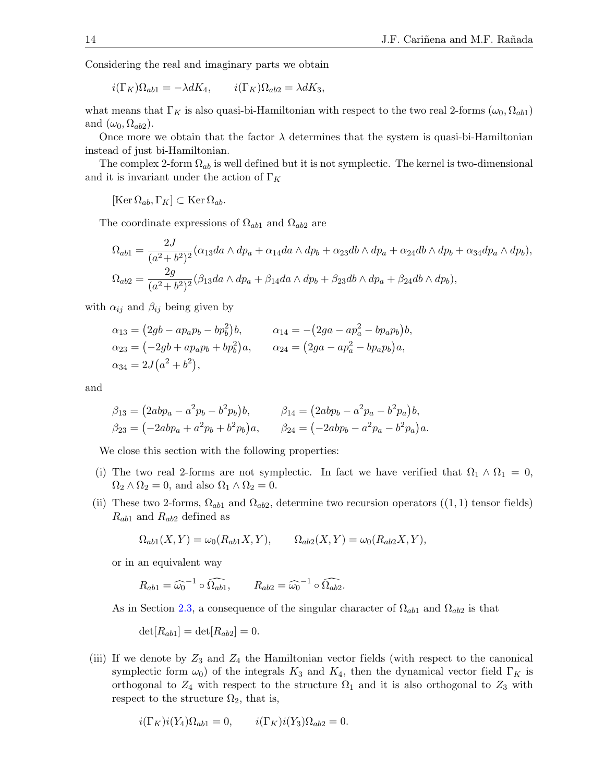Considering the real and imaginary parts we obtain

$$
i(\Gamma_K)\Omega_{ab1} = -\lambda dK_4, \qquad i(\Gamma_K)\Omega_{ab2} = \lambda dK_3,
$$

what means that  $\Gamma_K$  is also quasi-bi-Hamiltonian with respect to the two real 2-forms  $(\omega_0, \Omega_{ab1})$ and  $(\omega_0, \Omega_{ab2})$ .

Once more we obtain that the factor  $\lambda$  determines that the system is quasi-bi-Hamiltonian instead of just bi-Hamiltonian.

The complex 2-form  $\Omega_{ab}$  is well defined but it is not symplectic. The kernel is two-dimensional and it is invariant under the action of  $\Gamma_K$ 

 $[\text{Ker }\Omega_{ab}, \Gamma_K] \subset \text{Ker }\Omega_{ab}.$ 

The coordinate expressions of  $\Omega_{ab1}$  and  $\Omega_{ab2}$  are

$$
\Omega_{ab1} = \frac{2J}{(a^2 + b^2)^2} (\alpha_{13}da \wedge dp_a + \alpha_{14}da \wedge dp_b + \alpha_{23}db \wedge dp_a + \alpha_{24}db \wedge dp_b + \alpha_{34}dp_a \wedge dp_b),
$$
  
\n
$$
\Omega_{ab2} = \frac{2g}{(a^2 + b^2)^2} (\beta_{13}da \wedge dp_a + \beta_{14}da \wedge dp_b + \beta_{23}db \wedge dp_a + \beta_{24}db \wedge dp_b),
$$

with  $\alpha_{ij}$  and  $\beta_{ij}$  being given by

$$
\alpha_{13} = (2gb - ap_a p_b - bp_b^2)b, \qquad \alpha_{14} = -(2ga - ap_a^2 - bp_a p_b)b, \n\alpha_{23} = (-2gb + ap_a p_b + bp_b^2)a, \qquad \alpha_{24} = (2ga - ap_a^2 - bp_a p_b)a, \n\alpha_{34} = 2J(a^2 + b^2),
$$

and

$$
\beta_{13} = (2abp_a - a^2p_b - b^2p_b)b, \qquad \beta_{14} = (2abp_b - a^2p_a - b^2p_a)b, \n\beta_{23} = (-2abp_a + a^2p_b + b^2p_b)a, \qquad \beta_{24} = (-2abp_b - a^2p_a - b^2p_a)a.
$$

We close this section with the following properties:

- (i) The two real 2-forms are not symplectic. In fact we have verified that  $\Omega_1 \wedge \Omega_1 = 0$ ,  $\Omega_2 \wedge \Omega_2 = 0$ , and also  $\Omega_1 \wedge \Omega_2 = 0$ .
- (ii) These two 2-forms,  $\Omega_{ab1}$  and  $\Omega_{ab2}$ , determine two recursion operators ((1, 1) tensor fields)  $R_{ab1}$  and  $R_{ab2}$  defined as

$$
\Omega_{ab1}(X,Y) = \omega_0(R_{ab1}X,Y), \qquad \Omega_{ab2}(X,Y) = \omega_0(R_{ab2}X,Y),
$$

or in an equivalent way

$$
R_{ab1} = \widehat{\omega_0}^{-1} \circ \widehat{\Omega_{ab1}}, \qquad R_{ab2} = \widehat{\omega_0}^{-1} \circ \widehat{\Omega_{ab2}}.
$$

As in Section [2.3,](#page-8-0) a consequence of the singular character of  $\Omega_{ab1}$  and  $\Omega_{ab2}$  is that

$$
\det[R_{ab1}] = \det[R_{ab2}] = 0.
$$

(iii) If we denote by  $Z_3$  and  $Z_4$  the Hamiltonian vector fields (with respect to the canonical symplectic form  $\omega_0$ ) of the integrals  $K_3$  and  $K_4$ , then the dynamical vector field  $\Gamma_K$  is orthogonal to  $Z_4$  with respect to the structure  $\Omega_1$  and it is also orthogonal to  $Z_3$  with respect to the structure  $\Omega_2$ , that is,

$$
i(\Gamma_K)i(Y_4)\Omega_{ab1} = 0, \qquad i(\Gamma_K)i(Y_3)\Omega_{ab2} = 0.
$$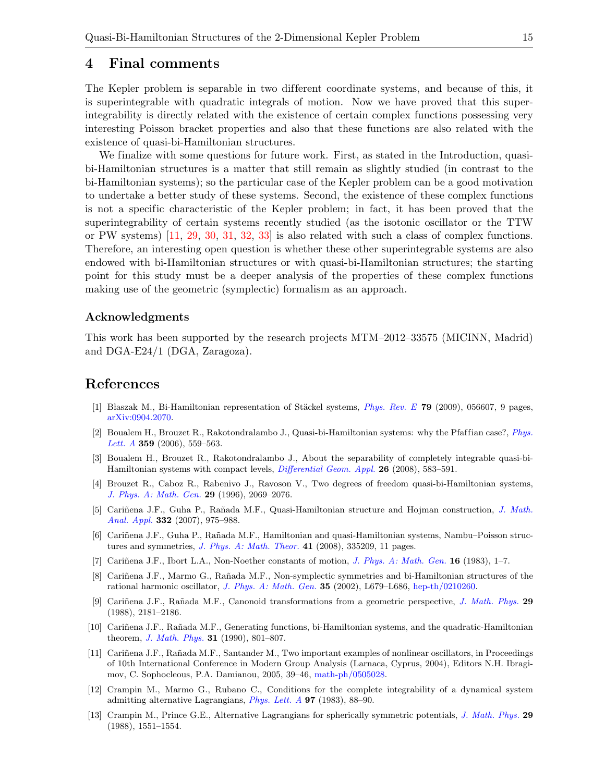## <span id="page-14-12"></span>4 Final comments

The Kepler problem is separable in two different coordinate systems, and because of this, it is superintegrable with quadratic integrals of motion. Now we have proved that this superintegrability is directly related with the existence of certain complex functions possessing very interesting Poisson bracket properties and also that these functions are also related with the existence of quasi-bi-Hamiltonian structures.

We finalize with some questions for future work. First, as stated in the Introduction, quasibi-Hamiltonian structures is a matter that still remain as slightly studied (in contrast to the bi-Hamiltonian systems); so the particular case of the Kepler problem can be a good motivation to undertake a better study of these systems. Second, the existence of these complex functions is not a specific characteristic of the Kepler problem; in fact, it has been proved that the superintegrability of certain systems recently studied (as the isotonic oscillator or the TTW or PW systems) [\[11,](#page-14-13) [29,](#page-15-18) [30,](#page-15-19) [31,](#page-15-20) [32,](#page-15-21) [33\]](#page-15-22) is also related with such a class of complex functions. Therefore, an interesting open question is whether these other superintegrable systems are also endowed with bi-Hamiltonian structures or with quasi-bi-Hamiltonian structures; the starting point for this study must be a deeper analysis of the properties of these complex functions making use of the geometric (symplectic) formalism as an approach.

#### Acknowledgments

This work has been supported by the research projects MTM–2012–33575 (MICINN, Madrid) and DGA-E24/1 (DGA, Zaragoza).

## References

- <span id="page-14-2"></span>[1] Błaszak M., Bi-Hamiltonian representation of Stäckel systems,  $Phys. Rev. E$  79 (2009), 056607, 9 pages, [arXiv:0904.2070.](http://arxiv.org/abs/0904.2070)
- <span id="page-14-3"></span>[2] Boualem H., Brouzet R., Rakotondralambo J., Quasi-bi-Hamiltonian systems: why the Pfaffian case?,  $Phys$ . [Lett. A](http://dx.doi.org/10.1016/j.physleta.2006.07.019) 359 (2006), 559-563.
- <span id="page-14-4"></span>[3] Boualem H., Brouzet R., Rakotondralambo J., About the separability of completely integrable quasi-bi-Hamiltonian systems with compact levels, [Differential Geom. Appl.](http://dx.doi.org/10.1016/j.difgeo.2008.04.008) 26 (2008), 583–591.
- <span id="page-14-1"></span>[4] Brouzet R., Caboz R., Rabenivo J., Ravoson V., Two degrees of freedom quasi-bi-Hamiltonian systems, [J. Phys. A: Math. Gen.](http://dx.doi.org/10.1088/0305-4470/29/9/019) 29 (1996), 2069–2076.
- <span id="page-14-5"></span>[5] Cariñena J.F., Guha P., Rañada M.F., Quasi-Hamiltonian structure and Hojman construction, *[J. Math.](http://dx.doi.org/10.1016/j.jmaa.2006.08.092)* [Anal. Appl.](http://dx.doi.org/10.1016/j.jmaa.2006.08.092) 332 (2007), 975–988.
- <span id="page-14-6"></span>[6] Cari˜nena J.F., Guha P., Ra˜nada M.F., Hamiltonian and quasi-Hamiltonian systems, Nambu–Poisson structures and symmetries, [J. Phys. A: Math. Theor.](http://dx.doi.org/10.1088/1751-8113/41/33/335209) 41 (2008), 335209, 11 pages.
- <span id="page-14-9"></span>[7] Cariñena J.F., Ibort L.A., Non-Noether constants of motion, *[J. Phys. A: Math. Gen.](http://dx.doi.org/10.1088/0305-4470/16/1/010)* **16** (1983), 1–7.
- <span id="page-14-0"></span>[8] Cariñena J.F., Marmo G., Rañada M.F., Non-symplectic symmetries and bi-Hamiltonian structures of the rational harmonic oscillator, [J. Phys. A: Math. Gen.](http://dx.doi.org/10.1088/0305-4470/35/47/101) 35 (2002), L679-L686, [hep-th/0210260.](http://arxiv.org/abs/hep-th/0210260)
- <span id="page-14-10"></span>[9] Cariñena J.F., Rañada M.F., Canonoid transformations from a geometric perspective, [J. Math. Phys.](http://dx.doi.org/10.1063/1.528146) 29 (1988), 2181–2186.
- <span id="page-14-11"></span>[10] Cari˜nena J.F., Ra˜nada M.F., Generating functions, bi-Hamiltonian systems, and the quadratic-Hamiltonian theorem, *[J. Math. Phys.](http://dx.doi.org/10.1063/1.529028)* **31** (1990), 801–807.
- <span id="page-14-13"></span>[11] Cari˜nena J.F., Ra˜nada M.F., Santander M., Two important examples of nonlinear oscillators, in Proceedings of 10th International Conference in Modern Group Analysis (Larnaca, Cyprus, 2004), Editors N.H. Ibragimov, C. Sophocleous, P.A. Damianou, 2005, 39–46, [math-ph/0505028.](http://arxiv.org/abs/math-ph/0505028)
- <span id="page-14-7"></span>[12] Crampin M., Marmo G., Rubano C., Conditions for the complete integrability of a dynamical system admitting alternative Lagrangians, [Phys. Lett. A](http://dx.doi.org/10.1016/0375-9601(83)90518-2) 97 (1983), 88–90.
- <span id="page-14-8"></span>[13] Crampin M., Prince G.E., Alternative Lagrangians for spherically symmetric potentials, [J. Math. Phys.](http://dx.doi.org/10.1063/1.527901) 29 (1988), 1551–1554.